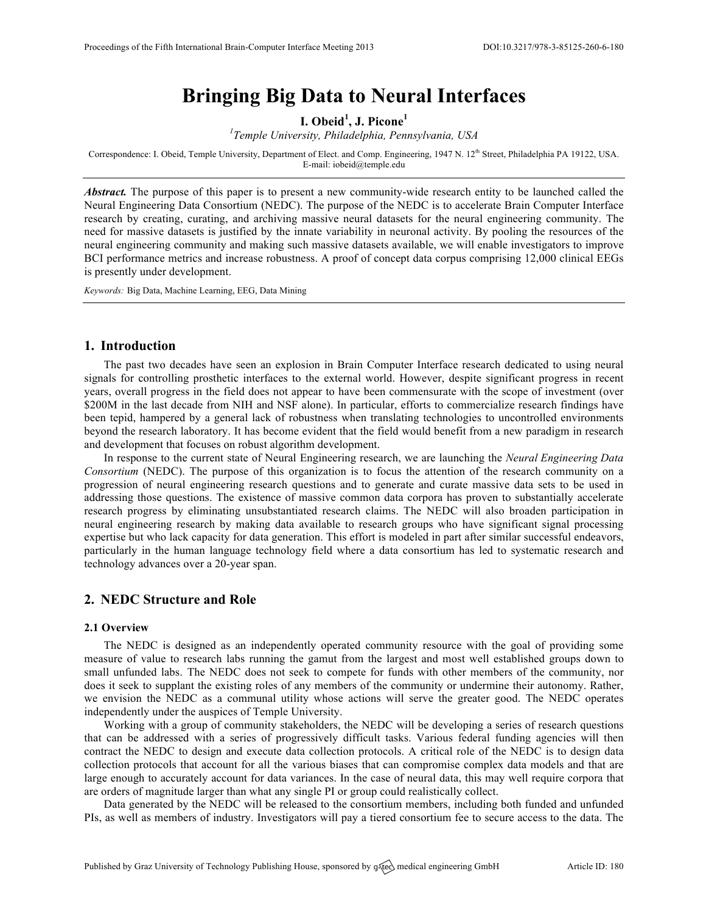# **Bringing Big Data to Neural Interfaces**

**I. Obeid<sup>1</sup> , J. Picone<sup>1</sup>**

*1 Temple University, Philadelphia, Pennsylvania, USA*

Correspondence: I. Obeid, Temple University, Department of Elect. and Comp. Engineering, 1947 N. 12<sup>th</sup> Street, Philadelphia PA 19122, USA. E-mail: iobeid@temple.edu

*Abstract.* The purpose of this paper is to present a new community-wide research entity to be launched called the Neural Engineering Data Consortium (NEDC). The purpose of the NEDC is to accelerate Brain Computer Interface research by creating, curating, and archiving massive neural datasets for the neural engineering community. The need for massive datasets is justified by the innate variability in neuronal activity. By pooling the resources of the neural engineering community and making such massive datasets available, we will enable investigators to improve BCI performance metrics and increase robustness. A proof of concept data corpus comprising 12,000 clinical EEGs is presently under development.

*Keywords:* Big Data, Machine Learning, EEG, Data Mining

### **1. Introduction**

The past two decades have seen an explosion in Brain Computer Interface research dedicated to using neural signals for controlling prosthetic interfaces to the external world. However, despite significant progress in recent years, overall progress in the field does not appear to have been commensurate with the scope of investment (over \$200M in the last decade from NIH and NSF alone). In particular, efforts to commercialize research findings have been tepid, hampered by a general lack of robustness when translating technologies to uncontrolled environments beyond the research laboratory. It has become evident that the field would benefit from a new paradigm in research and development that focuses on robust algorithm development.

In response to the current state of Neural Engineering research, we are launching the *Neural Engineering Data Consortium* (NEDC). The purpose of this organization is to focus the attention of the research community on a progression of neural engineering research questions and to generate and curate massive data sets to be used in addressing those questions. The existence of massive common data corpora has proven to substantially accelerate research progress by eliminating unsubstantiated research claims. The NEDC will also broaden participation in neural engineering research by making data available to research groups who have significant signal processing expertise but who lack capacity for data generation. This effort is modeled in part after similar successful endeavors, particularly in the human language technology field where a data consortium has led to systematic research and technology advances over a 20-year span.

### **2. NEDC Structure and Role**

#### **2.1 Overview**

The NEDC is designed as an independently operated community resource with the goal of providing some measure of value to research labs running the gamut from the largest and most well established groups down to small unfunded labs. The NEDC does not seek to compete for funds with other members of the community, nor does it seek to supplant the existing roles of any members of the community or undermine their autonomy. Rather, we envision the NEDC as a communal utility whose actions will serve the greater good. The NEDC operates independently under the auspices of Temple University.

Working with a group of community stakeholders, the NEDC will be developing a series of research questions that can be addressed with a series of progressively difficult tasks. Various federal funding agencies will then contract the NEDC to design and execute data collection protocols. A critical role of the NEDC is to design data collection protocols that account for all the various biases that can compromise complex data models and that are large enough to accurately account for data variances. In the case of neural data, this may well require corpora that are orders of magnitude larger than what any single PI or group could realistically collect.

Data generated by the NEDC will be released to the consortium members, including both funded and unfunded PIs, as well as members of industry. Investigators will pay a tiered consortium fee to secure access to the data. The